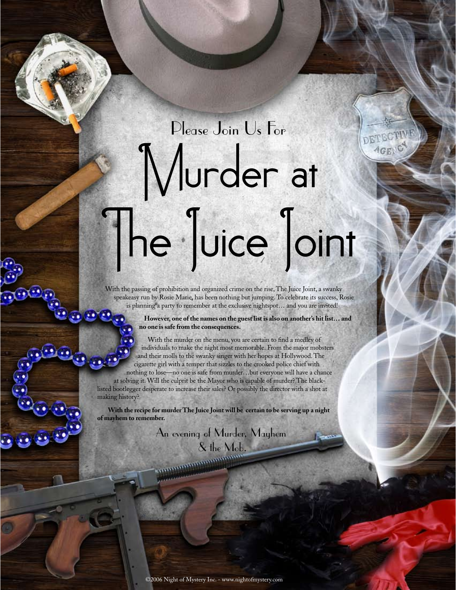## Murder at The Juice Joint Please Join Us For

DETEC **AGEN** 

With the passing of prohibition and organized crime on the rise, The Juice Joint, a swanky speakeasy run by Rosie Marie, has been nothing but jumping. To celebrate its success, Rosie is planning a party to remember at the exclusive nightspot... and you are invited!

> **However, one of the names on the guest list is also on another's hit list… and no one is safe from the consequences.**

With the murder on the menu, you are certain to find a medley of individuals to make the night most memorable. From the major mobsters and their molls to the swanky singer with her hopes at Hollywood. The cigarette girl with a temper that sizzles to the crooked police chief with nothing to lose—no one is safe from murder…but everyone will have a chance at solving it. Will the culprit be the Mayor who is capable of murder? The blacklisted bootlegger desperate to increase their sales? Or possibly the director with a shot at making history?

**With the recipe for murder The Juice Joint will be certain to be serving up a night of mayhem to remember.**

An evening of Murder, Mayhem

& the Mob.